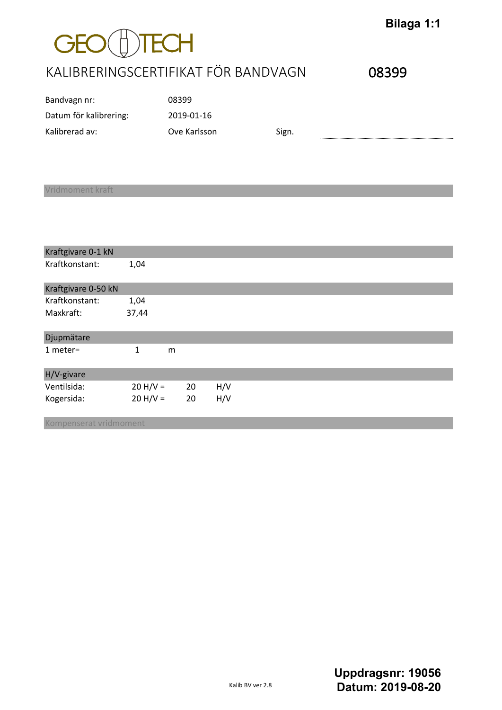## $GEO($ **DTECH**

## KALIBRERINGSCERTIFIKAT FÖR BANDVAGN 08399

**Bilaga 1:1**

| Bandvagn nr:           | 08399        |       |  |
|------------------------|--------------|-------|--|
| Datum för kalibrering: | 2019-01-16   |       |  |
| Kalibrerad av:         | Ove Karlsson | Sign. |  |

#### Vridmoment kraft

| Kraftgivare 0-1 kN  |            |   |    |     |  |  |  |
|---------------------|------------|---|----|-----|--|--|--|
| Kraftkonstant:      | 1,04       |   |    |     |  |  |  |
| Kraftgivare 0-50 kN |            |   |    |     |  |  |  |
| Kraftkonstant:      | 1,04       |   |    |     |  |  |  |
| Maxkraft:           | 37,44      |   |    |     |  |  |  |
| <b>Djupmätare</b>   |            |   |    |     |  |  |  |
| $1$ meter=          | 1          | m |    |     |  |  |  |
| H/V-givare          |            |   |    |     |  |  |  |
| Ventilsida:         | $20 H/V =$ |   | 20 | H/V |  |  |  |
| Kogersida:          | $20 H/V =$ |   | 20 | H/V |  |  |  |

Kompenserat vridmoment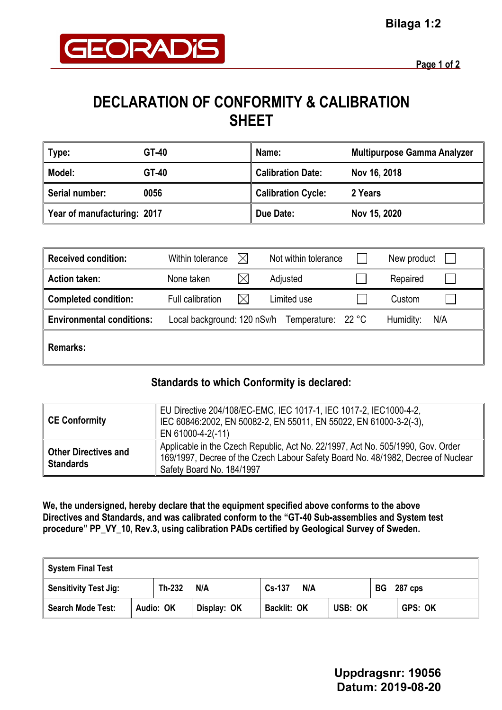

# **DECLARATION OF CONFORMITY & CALIBRATION SHEET**

| Type:                       | GT-40 | Name:                     | <b>Multipurpose Gamma Analyzer</b> |
|-----------------------------|-------|---------------------------|------------------------------------|
| Model:                      | GT-40 | <b>Calibration Date:</b>  | Nov 16, 2018                       |
| Serial number:              | 0056  | <b>Calibration Cycle:</b> | 2 Years                            |
| Year of manufacturing: 2017 |       | Due Date:                 | Nov 15, 2020                       |

| <b>Received condition:</b>       | Within tolerance            | $\boxtimes$ | Not within tolerance | New product |     |
|----------------------------------|-----------------------------|-------------|----------------------|-------------|-----|
| <b>Action taken:</b>             | None taken                  |             | Adjusted             | Repaired    |     |
| <b>Completed condition:</b>      | Full calibration            | $\times$    | Limited use          | Custom      |     |
| <b>Environmental conditions:</b> | Local background: 120 nSv/h |             | Temperature: 22 °C   | Humidity:   | N/A |
| <b>Remarks:</b>                  |                             |             |                      |             |     |

### **Standards to which Conformity is declared:**

| CE Conformity                                   | EU Directive 204/108/EC-EMC, IEC 1017-1, IEC 1017-2, IEC1000-4-2,<br>IEC 60846:2002, EN 50082-2, EN 55011, EN 55022, EN 61000-3-2(-3),<br>EN 61000-4-2(-11)                                      |
|-------------------------------------------------|--------------------------------------------------------------------------------------------------------------------------------------------------------------------------------------------------|
| <b>Other Directives and</b><br><b>Standards</b> | Applicable in the Czech Republic, Act No. 22/1997, Act No. 505/1990, Gov. Order<br>169/1997, Decree of the Czech Labour Safety Board No. 48/1982, Decree of Nuclear<br>Safety Board No. 184/1997 |

**We, the undersigned, hereby declare that the equipment specified above conforms to the above Directives and Standards, and was calibrated conform to the "GT-40 Sub-assemblies and System test procedure" PP\_VY\_10, Rev.3, using calibration PADs certified by Geological Survey of Sweden.**

| System Final Test     |     |               |             |                    |                |  |                |  |
|-----------------------|-----|---------------|-------------|--------------------|----------------|--|----------------|--|
| Sensitivity Test Jig: | N/A | Cs-137<br>N/A |             | <b>BG</b> 287 cps  |                |  |                |  |
| Search Mode Test:     |     | Audio: OK     | Display: OK | <b>Backlit: OK</b> | <b>USB: OK</b> |  | <b>GPS: OK</b> |  |